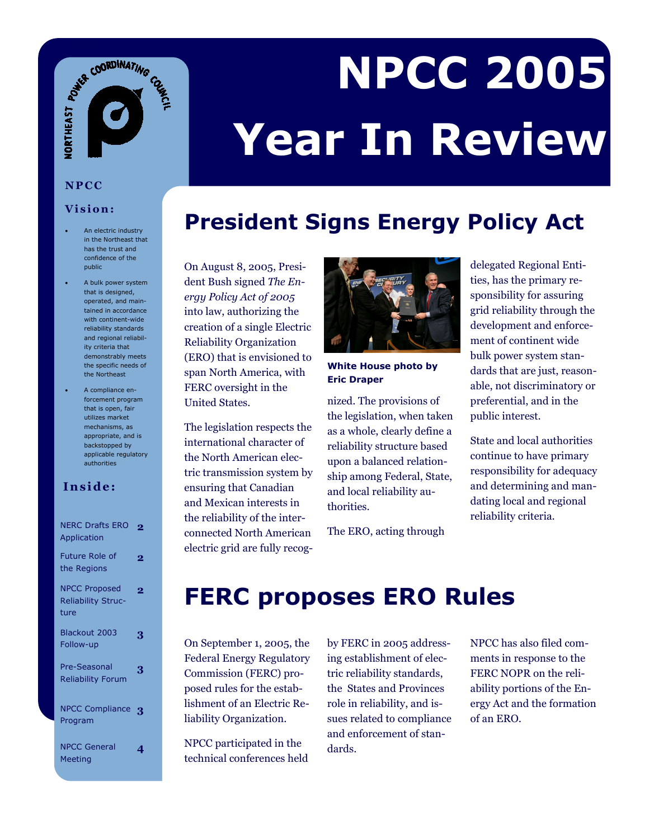# ACT COORDINATING

# **NPCC 2005 Year In Review**

#### **President Signs Energy Policy Act**

On August 8, 2005, President Bush signed *The Energy Policy Act of 2005* into law, authorizing the creation of a single Electric Reliability Organization (ERO) that is envisioned to span North America, with FERC oversight in the United States.

The legislation respects the international character of the North American electric transmission system by ensuring that Canadian and Mexican interests in the reliability of the interconnected North American electric grid are fully recog-



**White House photo by Eric Draper** 

nized. The provisions of the legislation, when taken as a whole, clearly define a reliability structure based upon a balanced relationship among Federal, State, and local reliability authorities.

The ERO, acting through

delegated Regional Entities, has the primary responsibility for assuring grid reliability through the development and enforcement of continent wide bulk power system standards that are just, reasonable, not discriminatory or preferential, and in the public interest.

State and local authorities continue to have primary responsibility for adequacy and determining and mandating local and regional reliability criteria.

#### **FERC proposes ERO Rules**

On September 1, 2005, the Federal Energy Regulatory Commission (FERC) proposed rules for the establishment of an Electric Reliability Organization.

NPCC participated in the technical conferences held by FERC in 2005 addressing establishment of electric reliability standards, the States and Provinces role in reliability, and issues related to compliance and enforcement of standards.

NPCC has also filed comments in response to the FERC NOPR on the reliability portions of the Energy Act and the formation of an ERO.

**NPCC** 

#### **Vision:**

- An electric industry in the Northeast that has the trust and confidence of the public
- A bulk power system that is designed, operated, and maintained in accordance with continent-wide reliability standards and regional reliability criteria that demonstrably meets the specific needs of the Northeast
- A compliance enforcement program that is open, fair utilizes market mechanisms, as appropriate, and is backstopped by applicable regulatory authorities

#### **Inside:**

| <b>NERC Drafts ERO</b><br>Application                     | 2              |
|-----------------------------------------------------------|----------------|
| <b>Future Role of</b><br>the Regions                      | $\overline{2}$ |
| <b>NPCC Proposed</b><br><b>Reliability Struc-</b><br>ture | $\overline{2}$ |
| Blackout 2003<br>Follow-up                                | 3              |
| Pre-Seasonal<br><b>Reliability Forum</b>                  | 3              |
| <b>NPCC Compliance</b><br>Program                         | 3              |
| <b>NPCC General</b><br><b>Meeting</b>                     |                |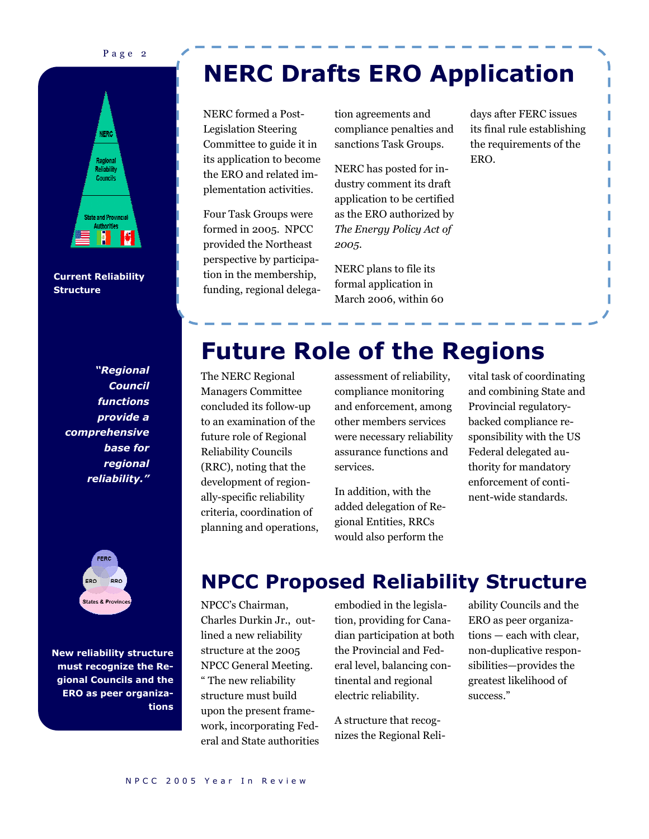Page 2



**Current Reliability Structure** 

*"Regional Council functions provide a comprehensive base for regional reliability."* 



**New reliability structure must recognize the Regional Councils and the ERO as peer organizations** 

## **NERC Drafts ERO Application**

NERC formed a Post-Legislation Steering Committee to guide it in its application to become the ERO and related implementation activities.

Four Task Groups were formed in 2005. NPCC provided the Northeast perspective by participation in the membership, funding, regional delegation agreements and compliance penalties and sanctions Task Groups.

NERC has posted for industry comment its draft application to be certified as the ERO authorized by *The Energy Policy Act of 2005*.

NERC plans to file its formal application in March 2006, within 60 days after FERC issues its final rule establishing the requirements of the ERO.

#### **Future Role of the Regions**

The NERC Regional Managers Committee concluded its follow-up to an examination of the future role of Regional Reliability Councils (RRC), noting that the development of regionally-specific reliability criteria, coordination of planning and operations, assessment of reliability, compliance monitoring and enforcement, among other members services were necessary reliability assurance functions and services.

In addition, with the added delegation of Regional Entities, RRCs would also perform the

vital task of coordinating and combining State and Provincial regulatorybacked compliance responsibility with the US Federal delegated authority for mandatory enforcement of continent-wide standards.

#### **NPCC Proposed Reliability Structure**

NPCC's Chairman, Charles Durkin Jr., outlined a new reliability structure at the 2005 NPCC General Meeting. " The new reliability structure must build upon the present framework, incorporating Federal and State authorities embodied in the legislation, providing for Canadian participation at both the Provincial and Federal level, balancing continental and regional electric reliability.

A structure that recognizes the Regional Reli-

ability Councils and the ERO as peer organizations — each with clear, non-duplicative responsibilities—provides the greatest likelihood of success."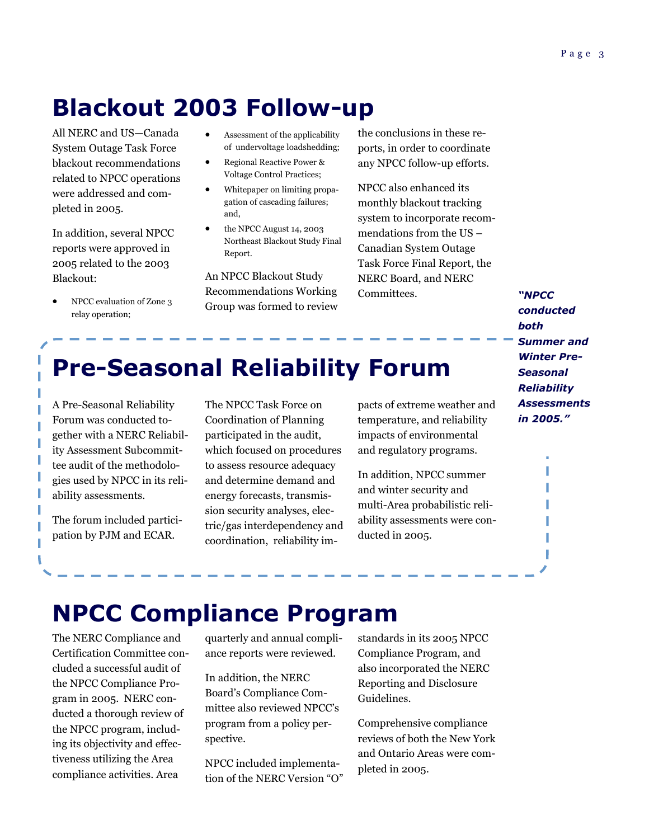#### **Blackout 2003 Follow-up**

All NERC and US—Canada System Outage Task Force blackout recommendations related to NPCC operations were addressed and completed in 2005.

In addition, several NPCC reports were approved in 2005 related to the 2003 Blackout:

• NPCC evaluation of Zone 3 relay operation;

- Assessment of the applicability of undervoltage loadshedding;
- Regional Reactive Power & Voltage Control Practices;
- Whitepaper on limiting propagation of cascading failures; and,
- the NPCC August 14, 2003 Northeast Blackout Study Final Report.

An NPCC Blackout Study Recommendations Working Group was formed to review the conclusions in these reports, in order to coordinate any NPCC follow-up efforts.

NPCC also enhanced its monthly blackout tracking system to incorporate recommendations from the US – Canadian System Outage Task Force Final Report, the NERC Board, and NERC Committees.

*"NPCC conducted both Summer and Winter Pre-Seasonal Reliability Assessments in 2005."* 

I

## **Pre-Seasonal Reliability Forum**

A Pre-Seasonal Reliability Forum was conducted together with a NERC Reliability Assessment Subcommittee audit of the methodologies used by NPCC in its reliability assessments.

The forum included participation by PJM and ECAR.

The NPCC Task Force on Coordination of Planning participated in the audit, which focused on procedures to assess resource adequacy and determine demand and energy forecasts, transmission security analyses, electric/gas interdependency and coordination, reliability impacts of extreme weather and temperature, and reliability impacts of environmental and regulatory programs.

In addition, NPCC summer and winter security and multi-Area probabilistic reliability assessments were conducted in 2005.

#### **NPCC Compliance Program**

The NERC Compliance and Certification Committee concluded a successful audit of the NPCC Compliance Program in 2005. NERC conducted a thorough review of the NPCC program, including its objectivity and effectiveness utilizing the Area compliance activities. Area

quarterly and annual compliance reports were reviewed.

In addition, the NERC Board's Compliance Committee also reviewed NPCC's program from a policy perspective.

NPCC included implementation of the NERC Version "O" standards in its 2005 NPCC Compliance Program, and also incorporated the NERC Reporting and Disclosure Guidelines.

Comprehensive compliance reviews of both the New York and Ontario Areas were completed in 2005.